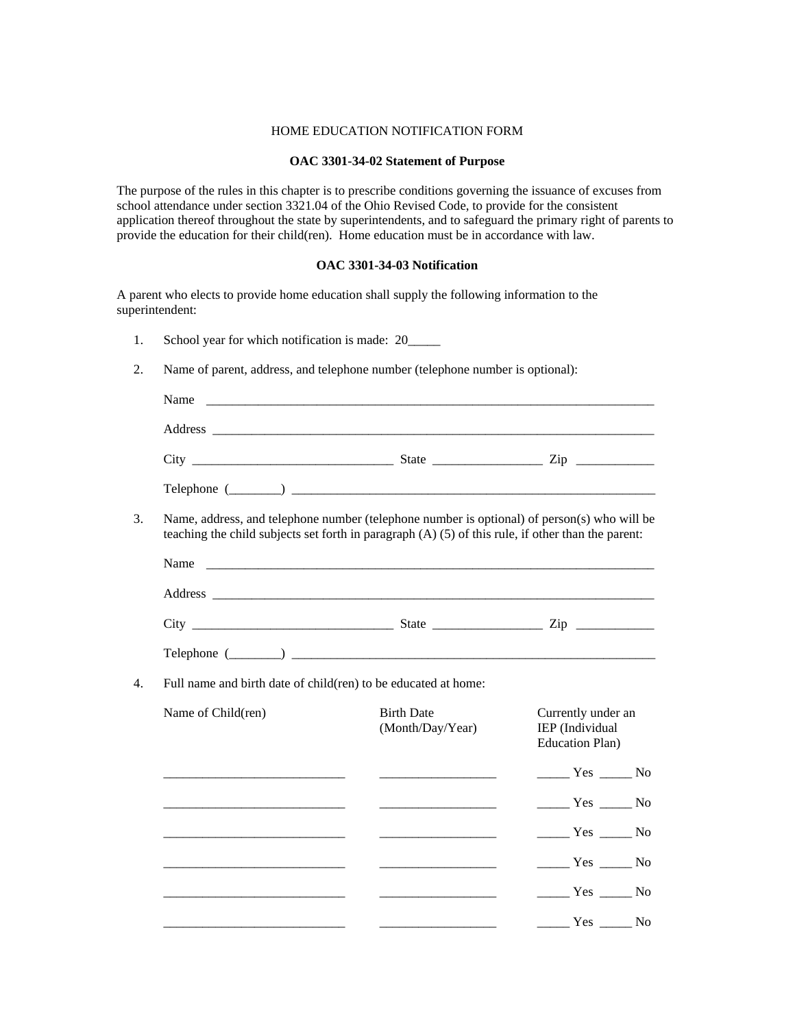## HOME EDUCATION NOTIFICATION FORM

## **OAC 3301-34-02 Statement of Purpose**

The purpose of the rules in this chapter is to prescribe conditions governing the issuance of excuses from school attendance under section 3321.04 of the Ohio Revised Code, to provide for the consistent application thereof throughout the state by superintendents, and to safeguard the primary right of parents to provide the education for their child(ren). Home education must be in accordance with law.

## **OAC 3301-34-03 Notification**

A parent who elects to provide home education shall supply the following information to the superintendent:

- 1. School year for which notification is made: 20\_\_\_\_\_
- 2. Name of parent, address, and telephone number (telephone number is optional):

| Name                                                              |                                                                                                                                                                                                                                                                                                                                                                                                      |                                                                                                                                                                                                                                                                                                                                                                                                                       |
|-------------------------------------------------------------------|------------------------------------------------------------------------------------------------------------------------------------------------------------------------------------------------------------------------------------------------------------------------------------------------------------------------------------------------------------------------------------------------------|-----------------------------------------------------------------------------------------------------------------------------------------------------------------------------------------------------------------------------------------------------------------------------------------------------------------------------------------------------------------------------------------------------------------------|
|                                                                   |                                                                                                                                                                                                                                                                                                                                                                                                      |                                                                                                                                                                                                                                                                                                                                                                                                                       |
|                                                                   | $\text{City}$ $\text{Div}$ $\text{Div}$ $\text{List}$ $\text{List}$ $\text{List}$ $\text{List}$ $\text{List}$ $\text{List}$ $\text{List}$ $\text{List}$ $\text{List}$ $\text{List}$ $\text{List}$ $\text{List}$ $\text{List}$ $\text{List}$ $\text{List}$ $\text{List}$ $\text{List}$ $\text{List}$ $\text{List}$ $\text{List}$ $\text{List}$ $\text{List}$ $\text{List}$ $\text{List}$ $\text{List$ |                                                                                                                                                                                                                                                                                                                                                                                                                       |
|                                                                   | $\text{Telephone } (\_\_\_\_\)$                                                                                                                                                                                                                                                                                                                                                                      |                                                                                                                                                                                                                                                                                                                                                                                                                       |
|                                                                   | Name, address, and telephone number (telephone number is optional) of person(s) who will be<br>teaching the child subjects set forth in paragraph (A) (5) of this rule, if other than the parent:                                                                                                                                                                                                    |                                                                                                                                                                                                                                                                                                                                                                                                                       |
| Name                                                              |                                                                                                                                                                                                                                                                                                                                                                                                      |                                                                                                                                                                                                                                                                                                                                                                                                                       |
|                                                                   |                                                                                                                                                                                                                                                                                                                                                                                                      |                                                                                                                                                                                                                                                                                                                                                                                                                       |
|                                                                   |                                                                                                                                                                                                                                                                                                                                                                                                      |                                                                                                                                                                                                                                                                                                                                                                                                                       |
|                                                                   | Telephone (Company) and the contract of the contract of the contract of the contract of the contract of the contract of the contract of the contract of the contract of the contract of the contract of the contract of the co                                                                                                                                                                       |                                                                                                                                                                                                                                                                                                                                                                                                                       |
| 4.                                                                | Full name and birth date of child(ren) to be educated at home:                                                                                                                                                                                                                                                                                                                                       |                                                                                                                                                                                                                                                                                                                                                                                                                       |
| Name of Child(ren)                                                | <b>Birth Date</b><br>(Month/Day/Year)                                                                                                                                                                                                                                                                                                                                                                | Currently under an<br>IEP (Individual<br><b>Education Plan)</b>                                                                                                                                                                                                                                                                                                                                                       |
|                                                                   |                                                                                                                                                                                                                                                                                                                                                                                                      | $\frac{1}{\sqrt{1-\frac{1}{1-\frac{1}{1-\frac{1}{1-\frac{1}{1-\frac{1}{1-\frac{1}{1-\frac{1}{1-\frac{1}{1-\frac{1}{1-\frac{1}{1-\frac{1}{1-\frac{1}{1-\frac{1}{1-\frac{1}{1-\frac{1}{1-\frac{1}{1-\frac{1}{1-\frac{1}{1-\frac{1}{1-\frac{1}{1-\frac{1}{1-\frac{1}{1-\frac{1}{1-\frac{1}{1-\frac{1}{1-\frac{1}{1-\frac{1}{1-\frac{1}{1-\frac{1}{1-\frac{1}{1-\frac{1}{1-\frac{1}{1-\frac{1}{1-\frac{1}{1-\frac{1}{1-\$ |
|                                                                   |                                                                                                                                                                                                                                                                                                                                                                                                      | $\frac{1}{1}$ Yes $\frac{1}{1}$ No                                                                                                                                                                                                                                                                                                                                                                                    |
|                                                                   |                                                                                                                                                                                                                                                                                                                                                                                                      | $\frac{1}{1}$ Yes $\frac{1}{1}$ No                                                                                                                                                                                                                                                                                                                                                                                    |
| <u> 1989 - Johann Barbara, martin da kasar Amerikaan kasar da</u> | <u> Listen de la componenta</u>                                                                                                                                                                                                                                                                                                                                                                      | $\frac{1}{1}$ Yes $\frac{1}{1}$ No                                                                                                                                                                                                                                                                                                                                                                                    |
|                                                                   | <u> 1989 - Johann Barbara, martin a</u>                                                                                                                                                                                                                                                                                                                                                              | $Yes$ No                                                                                                                                                                                                                                                                                                                                                                                                              |
|                                                                   |                                                                                                                                                                                                                                                                                                                                                                                                      | $\frac{1}{\sqrt{1-\frac{1}{1-\frac{1}{1-\frac{1}{1-\frac{1}{1-\frac{1}{1-\frac{1}{1-\frac{1}{1-\frac{1}{1-\frac{1}{1-\frac{1}{1-\frac{1}{1-\frac{1}{1-\frac{1}{1-\frac{1}{1-\frac{1}{1-\frac{1}{1-\frac{1}{1-\frac{1}{1-\frac{1}{1-\frac{1}{1-\frac{1}{1-\frac{1}{1-\frac{1}{1-\frac{1}{1-\frac{1}{1-\frac{1}{1-\frac{1}{1-\frac{1}{1-\frac{1}{1-\frac{1}{1-\frac{1}{1-\frac{1}{1-\frac{1}{1-\frac{1}{1-\frac{1}{1-\$ |